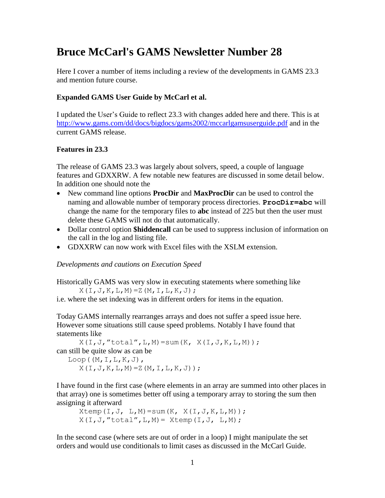### **Bruce McCarl's GAMS Newsletter Number 28**

Here I cover a number of items including a review of the developments in GAMS 23.3 and mention future course.

#### **Expanded GAMS User Guide by McCarl et al.**

I updated the User's Guide to reflect 23.3 with changes added here and there. This is at <http://www.gams.com/dd/docs/bigdocs/gams2002/mccarlgamsuserguide.pdf> and in the current GAMS release.

#### **Features in 23.3**

The release of GAMS 23.3 was largely about solvers, speed, a couple of language features and GDXXRW. A few notable new features are discussed in some detail below. In addition one should note the

- New command line options **ProcDir** and **MaxProcDir** can be used to control the naming and allowable number of temporary process directories. **ProcDir=abc** will change the name for the temporary files to **abc** instead of 225 but then the user must delete these GAMS will not do that automatically.
- Dollar control option **\$hiddencall** can be used to suppress inclusion of information on the call in the log and listing file.
- GDXXRW can now work with Excel files with the XSLM extension.

#### *Developments and cautions on Execution Speed*

Historically GAMS was very slow in executing statements where something like  $X(I, J, K, L, M) = Z(M, I, L, K, J);$ 

i.e. where the set indexing was in different orders for items in the equation.

Today GAMS internally rearranges arrays and does not suffer a speed issue here. However some situations still cause speed problems. Notably I have found that statements like

 $X(I,J,'total'',L,M)=sum(K,'X(I,J,K,L,M));$ can still be quite slow as can be  $Loop((M,I,L,K,J),$  $X(I, J, K, L, M) = Z(M, I, L, K, J)$ ;

I have found in the first case (where elements in an array are summed into other places in that array) one is sometimes better off using a temporary array to storing the sum then assigning it afterward

 $X$ temp $(I,J, L,M)$ =sum $(K, X(I,J,K,L,M))$ ;  $X(I,J,'total'',L,M) = Xtemp(I,J,'L,M);$ 

In the second case (where sets are out of order in a loop) I might manipulate the set orders and would use conditionals to limit cases as discussed in the McCarl Guide.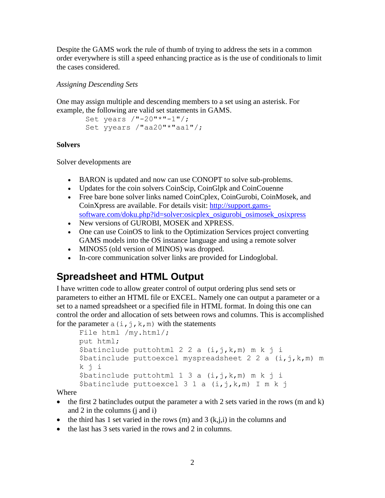Despite the GAMS work the rule of thumb of trying to address the sets in a common order everywhere is still a speed enhancing practice as is the use of conditionals to limit the cases considered.

#### *Assigning Descending Sets*

One may assign multiple and descending members to a set using an asterisk. For example, the following are valid set statements in GAMS.

```
Set years /"-20"*"-1"/;
Set yyears /"aa20"*"aa1"/;
```
#### **Solvers**

Solver developments are

- BARON is updated and now can use CONOPT to solve sub-problems.
- Updates for the coin solvers CoinScip, CoinGlpk and CoinCouenne
- Free bare bone solver links named CoinCplex, CoinGurobi, CoinMosek, and CoinXpress are available. For details visit: [http://support.gams](http://support.gams-software.com/doku.php?id=solver:osicplex_osigurobi_osimosek_osixpress)[software.com/doku.php?id=solver:osicplex\\_osigurobi\\_osimosek\\_osixpress](http://support.gams-software.com/doku.php?id=solver:osicplex_osigurobi_osimosek_osixpress)
- New versions of GUROBI, MOSEK and XPRESS.
- One can use CoinOS to link to the Optimization Services project converting GAMS models into the OS instance language and using a remote solver
- MINOS5 (old version of MINOS) was dropped.
- In-core communication solver links are provided for Lindoglobal.

### **Spreadsheet and HTML Output**

I have written code to allow greater control of output ordering plus send sets or parameters to either an HTML file or EXCEL. Namely one can output a parameter or a set to a named spreadsheet or a specified file in HTML format. In doing this one can control the order and allocation of sets between rows and columns. This is accomplished for the parameter  $a(i, j, k, m)$  with the statements

```
File html /my.html/; 
put html;
$batinclude puttohtml 2 2 a (i, j, k, m) m k j i
$batinclude puttoexcel myspreadsheet 2 \times 2 a (i,j,k,m) m
k j i
$batinclude puttohtml 1 3 a (i, j, k, m) m k j i
$batinclude puttoexcel 3 1 a (i, j, k, m) I m k j
```
Where

- $\bullet$  the first 2 batincludes output the parameter a with 2 sets varied in the rows (m and k) and 2 in the columns (j and i)
- the third has 1 set varied in the rows (m) and 3  $(k,j,i)$  in the columns and
- the last has 3 sets varied in the rows and 2 in columns.